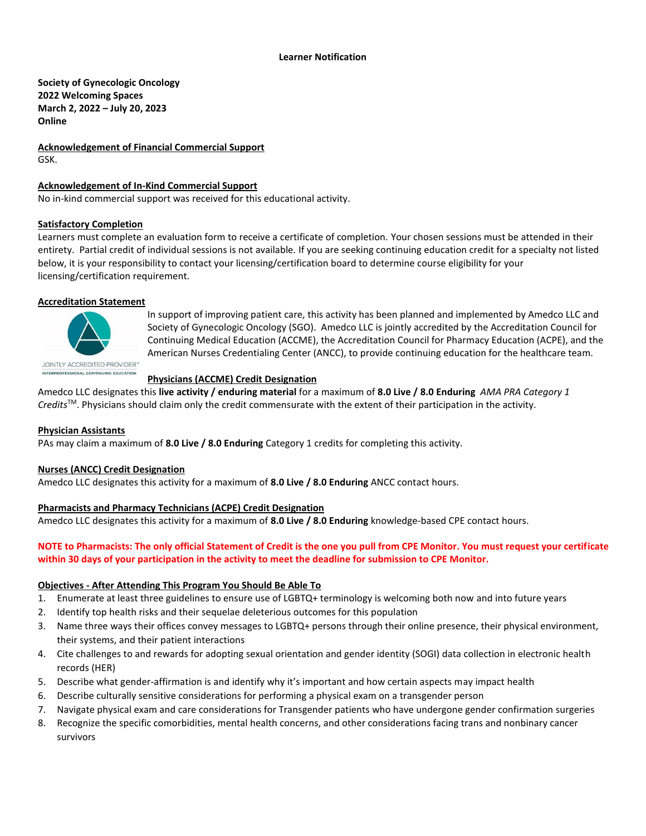**Society of Gynecologic Oncology 2022 Welcoming Spaces March 2, 2022 – July 20, 2023 Online**

**Acknowledgement of Financial Commercial Support** GSK.

# **Acknowledgement of In-Kind Commercial Support**

No in-kind commercial support was received for this educational activity.

#### **Satisfactory Completion**

Learners must complete an evaluation form to receive a certificate of completion. Your chosen sessions must be attended in their entirety. Partial credit of individual sessions is not available. If you are seeking continuing education credit for a specialty not listed below, it is your responsibility to contact your licensing/certification board to determine course eligibility for your licensing/certification requirement.

## **Accreditation Statement**



In support of improving patient care, this activity has been planned and implemented by Amedco LLC and Society of Gynecologic Oncology (SGO). Amedco LLC is jointly accredited by the Accreditation Council for Continuing Medical Education (ACCME), the Accreditation Council for Pharmacy Education (ACPE), and the American Nurses Credentialing Center (ANCC), to provide continuing education for the healthcare team.

#### **Physicians (ACCME) Credit Designation**

Amedco LLC designates this **live activity / enduring material** for a maximum of **8.0 Live / 8.0 Enduring** *AMA PRA Category 1 Credits*TM. Physicians should claim only the credit commensurate with the extent of their participation in the activity.

#### **Physician Assistants**

PAs may claim a maximum of **8.0 Live / 8.0 Enduring** Category 1 credits for completing this activity.

#### **Nurses (ANCC) Credit Designation**

Amedco LLC designates this activity for a maximum of **8.0 Live / 8.0 Enduring** ANCC contact hours.

#### **Pharmacists and Pharmacy Technicians (ACPE) Credit Designation**

Amedco LLC designates this activity for a maximum of **8.0 Live / 8.0 Enduring** knowledge-based CPE contact hours.

## **NOTE to Pharmacists: The only official Statement of Credit is the one you pull from CPE Monitor. You must request your certificate within 30 days of your participation in the activity to meet the deadline for submission to CPE Monitor.**

#### **Objectives - After Attending This Program You Should Be Able To**

- 1. Enumerate at least three guidelines to ensure use of LGBTQ+ terminology is welcoming both now and into future years
- 2. Identify top health risks and their sequelae deleterious outcomes for this population
- 3. Name three ways their offices convey messages to LGBTQ+ persons through their online presence, their physical environment, their systems, and their patient interactions
- 4. Cite challenges to and rewards for adopting sexual orientation and gender identity (SOGI) data collection in electronic health records (HER)
- 5. Describe what gender-affirmation is and identify why it's important and how certain aspects may impact health
- 6. Describe culturally sensitive considerations for performing a physical exam on a transgender person
- 7. Navigate physical exam and care considerations for Transgender patients who have undergone gender confirmation surgeries
- 8. Recognize the specific comorbidities, mental health concerns, and other considerations facing trans and nonbinary cancer survivors